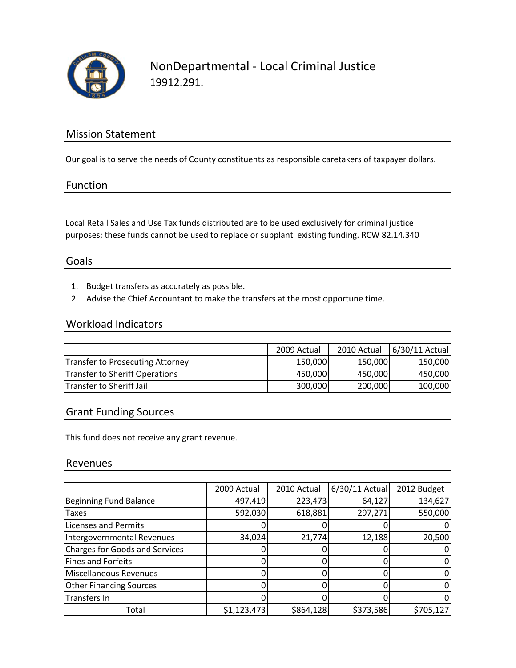

### Mission Statement

Our goal is to serve the needs of County constituents as responsible caretakers of taxpayer dollars.

#### Function

Local Retail Sales and Use Tax funds distributed are to be used exclusively for criminal justice purposes; these funds cannot be used to replace or supplant existing funding. RCW 82.14.340

#### Goals

- 1. Budget transfers as accurately as possible.
- 2. Advise the Chief Accountant to make the transfers at the most opportune time.

## Workload Indicators

|                                         | 2009 Actual |         | 2010 Actual 6/30/11 Actual |
|-----------------------------------------|-------------|---------|----------------------------|
| <b>Transfer to Prosecuting Attorney</b> | 150,000     | 150,000 | 150,000                    |
| <b>Transfer to Sheriff Operations</b>   | 450,000     | 450,000 | 450,000                    |
| <b>Transfer to Sheriff Jail</b>         | 300,000     | 200,000 | 100,000                    |

### Grant Funding Sources

This fund does not receive any grant revenue.

#### Revenues

|                                       | 2009 Actual | 2010 Actual | $6/30/11$ Actual | 2012 Budget |
|---------------------------------------|-------------|-------------|------------------|-------------|
| <b>Beginning Fund Balance</b>         | 497,419     | 223,473     | 64,127           | 134,627     |
| <b>Taxes</b>                          | 592,030     | 618,881     | 297,271          | 550,000     |
| <b>Licenses and Permits</b>           |             |             |                  |             |
| Intergovernmental Revenues            | 34,024      | 21,774      | 12,188           | 20,500      |
| <b>Charges for Goods and Services</b> |             |             |                  |             |
| Fines and Forfeits                    |             |             |                  |             |
| Miscellaneous Revenues                |             |             |                  |             |
| <b>Other Financing Sources</b>        |             |             |                  |             |
| Transfers In                          |             |             |                  |             |
| Total                                 | \$1,123,473 | \$864,128   | \$373,586        | \$705,127   |